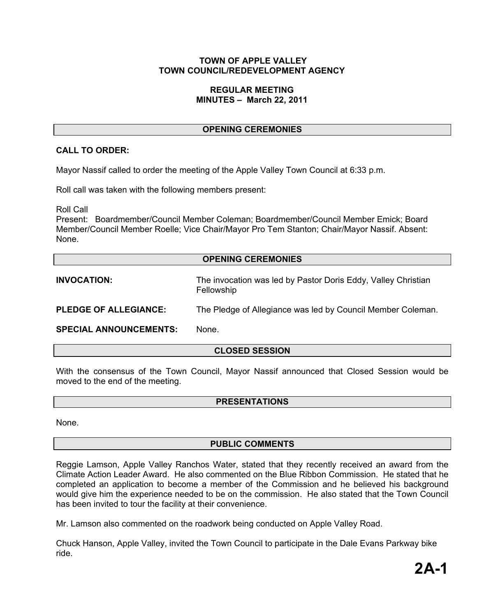### **TOWN OF APPLE VALLEY TOWN COUNCIL/REDEVELOPMENT AGENCY**

### **REGULAR MEETING MINUTES – March 22, 2011**

# **OPENING CEREMONIES**

# **CALL TO ORDER:**

Mayor Nassif called to order the meeting of the Apple Valley Town Council at 6:33 p.m.

Roll call was taken with the following members present:

Roll Call

Present: Boardmember/Council Member Coleman; Boardmember/Council Member Emick; Board Member/Council Member Roelle; Vice Chair/Mayor Pro Tem Stanton; Chair/Mayor Nassif. Absent: None.

### **OPENING CEREMONIES**

**INVOCATION:** The invocation was led by Pastor Doris Eddy, Valley Christian Fellowship

**PLEDGE OF ALLEGIANCE:** The Pledge of Allegiance was led by Council Member Coleman.

**SPECIAL ANNOUNCEMENTS:** None.

# **CLOSED SESSION**

With the consensus of the Town Council, Mayor Nassif announced that Closed Session would be moved to the end of the meeting.

### **PRESENTATIONS**

None.

# **PUBLIC COMMENTS**

Reggie Lamson, Apple Valley Ranchos Water, stated that they recently received an award from the Climate Action Leader Award. He also commented on the Blue Ribbon Commission. He stated that he completed an application to become a member of the Commission and he believed his background would give him the experience needed to be on the commission. He also stated that the Town Council has been invited to tour the facility at their convenience.

Mr. Lamson also commented on the roadwork being conducted on Apple Valley Road.

Chuck Hanson, Apple Valley, invited the Town Council to participate in the Dale Evans Parkway bike ride.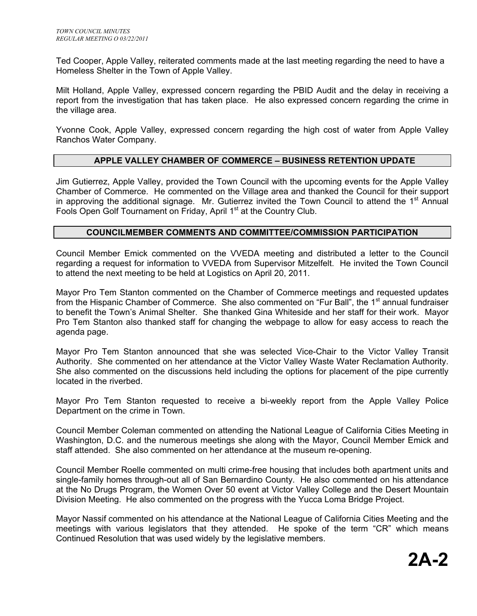Ted Cooper, Apple Valley, reiterated comments made at the last meeting regarding the need to have a Homeless Shelter in the Town of Apple Valley.

Milt Holland, Apple Valley, expressed concern regarding the PBID Audit and the delay in receiving a report from the investigation that has taken place. He also expressed concern regarding the crime in the village area.

Yvonne Cook, Apple Valley, expressed concern regarding the high cost of water from Apple Valley Ranchos Water Company.

# **APPLE VALLEY CHAMBER OF COMMERCE – BUSINESS RETENTION UPDATE**

Jim Gutierrez, Apple Valley, provided the Town Council with the upcoming events for the Apple Valley Chamber of Commerce. He commented on the Village area and thanked the Council for their support in approving the additional signage. Mr. Gutierrez invited the Town Council to attend the  $1<sup>st</sup>$  Annual Fools Open Golf Tournament on Friday, April 1<sup>st</sup> at the Country Club.

### **COUNCILMEMBER COMMENTS AND COMMITTEE/COMMISSION PARTICIPATION**

Council Member Emick commented on the VVEDA meeting and distributed a letter to the Council regarding a request for information to VVEDA from Supervisor Mitzelfelt. He invited the Town Council to attend the next meeting to be held at Logistics on April 20, 2011.

Mayor Pro Tem Stanton commented on the Chamber of Commerce meetings and requested updates from the Hispanic Chamber of Commerce. She also commented on "Fur Ball", the 1<sup>st</sup> annual fundraiser to benefit the Town's Animal Shelter. She thanked Gina Whiteside and her staff for their work. Mayor Pro Tem Stanton also thanked staff for changing the webpage to allow for easy access to reach the agenda page.

Mayor Pro Tem Stanton announced that she was selected Vice-Chair to the Victor Valley Transit Authority. She commented on her attendance at the Victor Valley Waste Water Reclamation Authority. She also commented on the discussions held including the options for placement of the pipe currently located in the riverbed.

Mayor Pro Tem Stanton requested to receive a bi-weekly report from the Apple Valley Police Department on the crime in Town.

Council Member Coleman commented on attending the National League of California Cities Meeting in Washington, D.C. and the numerous meetings she along with the Mayor, Council Member Emick and staff attended. She also commented on her attendance at the museum re-opening.

Council Member Roelle commented on multi crime-free housing that includes both apartment units and single-family homes through-out all of San Bernardino County. He also commented on his attendance at the No Drugs Program, the Women Over 50 event at Victor Valley College and the Desert Mountain Division Meeting. He also commented on the progress with the Yucca Loma Bridge Project.

Mayor Nassif commented on his attendance at the National League of California Cities Meeting and the meetings with various legislators that they attended. He spoke of the term "CR" which means Continued Resolution that was used widely by the legislative members.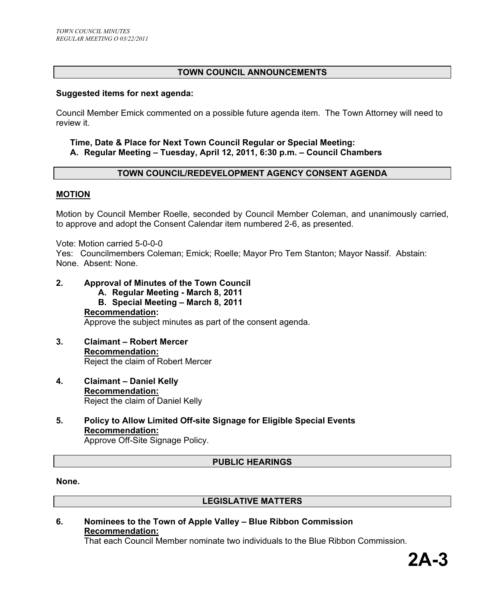# **TOWN COUNCIL ANNOUNCEMENTS**

### **Suggested items for next agenda:**

Council Member Emick commented on a possible future agenda item. The Town Attorney will need to review it.

### **Time, Date & Place for Next Town Council Regular or Special Meeting: A. Regular Meeting – Tuesday, April 12, 2011, 6:30 p.m. – Council Chambers**

### **TOWN COUNCIL/REDEVELOPMENT AGENCY CONSENT AGENDA**

#### **MOTION**

Motion by Council Member Roelle, seconded by Council Member Coleman, and unanimously carried, to approve and adopt the Consent Calendar item numbered 2-6, as presented.

Vote: Motion carried 5-0-0-0

Yes: Councilmembers Coleman; Emick; Roelle; Mayor Pro Tem Stanton; Mayor Nassif. Abstain: None. Absent: None.

# **2. Approval of Minutes of the Town Council**

**A. Regular Meeting - March 8, 2011 B. Special Meeting – March 8, 2011 Recommendation:**  Approve the subject minutes as part of the consent agenda.

- **3. Claimant Robert Mercer Recommendation:** Reject the claim of Robert Mercer
- **4. Claimant Daniel Kelly Recommendation:** Reject the claim of Daniel Kelly
- **5. Policy to Allow Limited Off-site Signage for Eligible Special Events Recommendation:** Approve Off-Site Signage Policy.

# **PUBLIC HEARINGS**

**None.** 

### **LEGISLATIVE MATTERS**

### **6. Nominees to the Town of Apple Valley – Blue Ribbon Commission Recommendation:**

That each Council Member nominate two individuals to the Blue Ribbon Commission.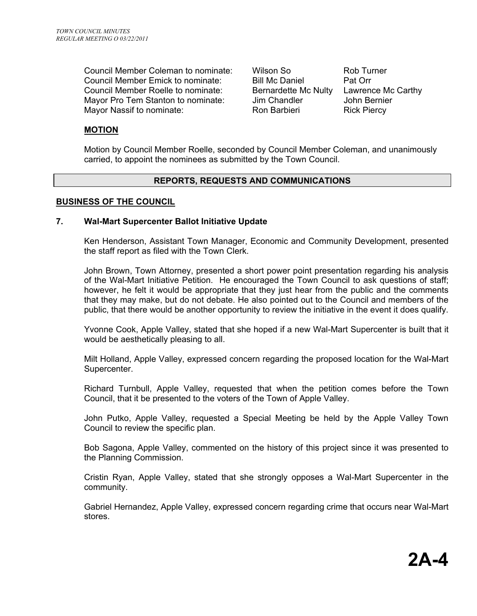Council Member Coleman to nominate: Wilson So Rob Turner Council Member Emick to nominate: Bill Mc Daniel Pat Orr Council Member Roelle to nominate: Bernardette Mc Nulty Lawrence Mc Carthy Mayor Pro Tem Stanton to nominate: Jim Chandler John Bernier Mayor Nassif to nominate: Ron Barbieri Rick Piercy

### **MOTION**

Motion by Council Member Roelle, seconded by Council Member Coleman, and unanimously carried, to appoint the nominees as submitted by the Town Council.

### **REPORTS, REQUESTS AND COMMUNICATIONS**

### **BUSINESS OF THE COUNCIL**

### **7. Wal-Mart Supercenter Ballot Initiative Update**

Ken Henderson, Assistant Town Manager, Economic and Community Development, presented the staff report as filed with the Town Clerk.

John Brown, Town Attorney, presented a short power point presentation regarding his analysis of the Wal-Mart Initiative Petition. He encouraged the Town Council to ask questions of staff; however, he felt it would be appropriate that they just hear from the public and the comments that they may make, but do not debate. He also pointed out to the Council and members of the public, that there would be another opportunity to review the initiative in the event it does qualify.

Yvonne Cook, Apple Valley, stated that she hoped if a new Wal-Mart Supercenter is built that it would be aesthetically pleasing to all.

Milt Holland, Apple Valley, expressed concern regarding the proposed location for the Wal-Mart Supercenter.

Richard Turnbull, Apple Valley, requested that when the petition comes before the Town Council, that it be presented to the voters of the Town of Apple Valley.

John Putko, Apple Valley, requested a Special Meeting be held by the Apple Valley Town Council to review the specific plan.

Bob Sagona, Apple Valley, commented on the history of this project since it was presented to the Planning Commission.

Cristin Ryan, Apple Valley, stated that she strongly opposes a Wal-Mart Supercenter in the community.

Gabriel Hernandez, Apple Valley, expressed concern regarding crime that occurs near Wal-Mart stores.